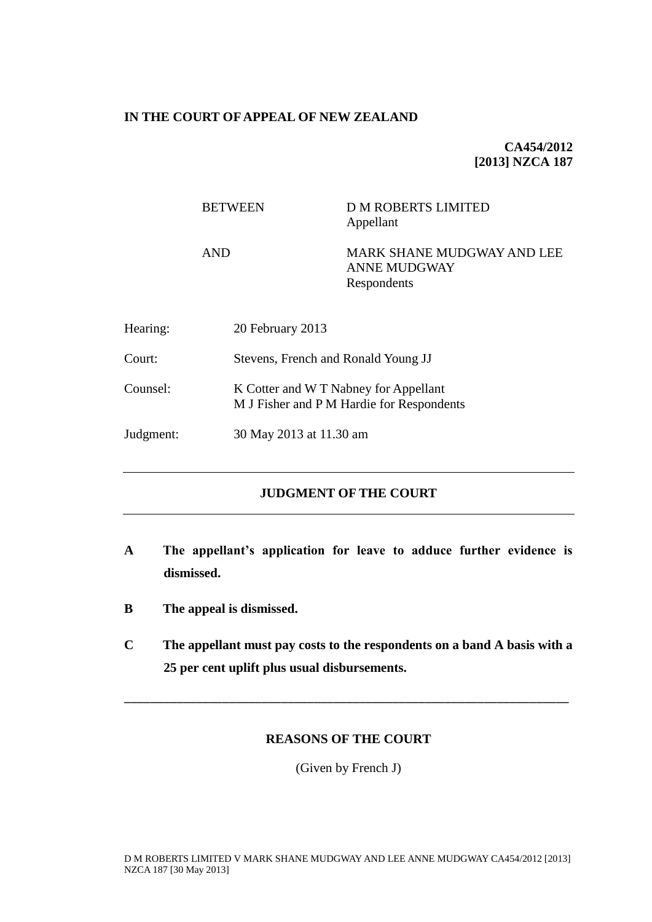## **IN THE COURT OF APPEAL OF NEW ZEALAND**

**CA454/2012 [2013] NZCA 187**

|           | <b>BETWEEN</b>   | <b>D M ROBERTS LIMITED</b><br>Appellant                                            |  |
|-----------|------------------|------------------------------------------------------------------------------------|--|
|           | <b>AND</b>       | MARK SHANE MUDGWAY AND LEE<br><b>ANNE MUDGWAY</b><br>Respondents                   |  |
| Hearing:  | 20 February 2013 |                                                                                    |  |
| Court:    |                  | Stevens, French and Ronald Young JJ                                                |  |
| Counsel:  |                  | K Cotter and W T Nabney for Appellant<br>M J Fisher and P M Hardie for Respondents |  |
| Judgment: |                  | 30 May 2013 at 11.30 am                                                            |  |

# **JUDGMENT OF THE COURT**

- **A The appellant's application for leave to adduce further evidence is dismissed.**
- **B The appeal is dismissed.**
- **C The appellant must pay costs to the respondents on a band A basis with a 25 per cent uplift plus usual disbursements.**

\_\_\_\_\_\_\_\_\_\_\_\_\_\_\_\_\_\_\_\_\_\_\_\_\_\_\_\_\_\_\_\_\_\_\_\_\_\_\_\_\_\_\_\_\_\_\_\_\_\_\_\_\_\_\_\_\_\_\_\_\_\_\_\_\_\_\_\_

# **REASONS OF THE COURT**

(Given by French J)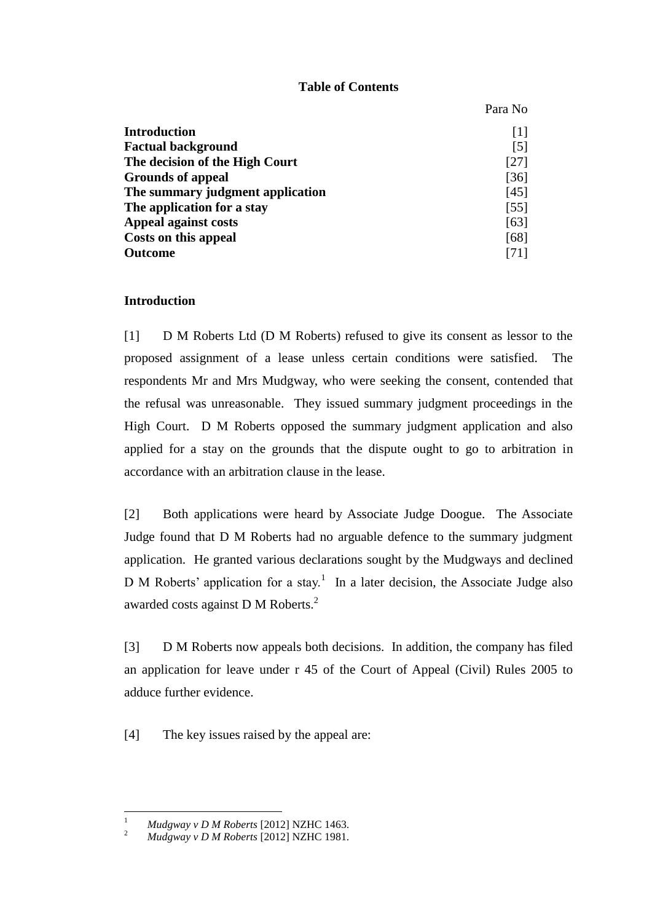### **Table of Contents**

Para No

|                                  | Taia ind          |
|----------------------------------|-------------------|
| <b>Introduction</b>              | $\lceil 1 \rceil$ |
| <b>Factual background</b>        | $\lceil 5 \rceil$ |
| The decision of the High Court   | [27]              |
| <b>Grounds of appeal</b>         | [36]              |
| The summary judgment application | [45]              |
| The application for a stay       | [55]              |
| Appeal against costs             | [63]              |
| Costs on this appeal             | [68]              |
| <b>Outcome</b>                   | [71]              |

### **Introduction**

<span id="page-1-0"></span>[1] D M Roberts Ltd (D M Roberts) refused to give its consent as lessor to the proposed assignment of a lease unless certain conditions were satisfied. The respondents Mr and Mrs Mudgway, who were seeking the consent, contended that the refusal was unreasonable. They issued summary judgment proceedings in the High Court. D M Roberts opposed the summary judgment application and also applied for a stay on the grounds that the dispute ought to go to arbitration in accordance with an arbitration clause in the lease.

[2] Both applications were heard by Associate Judge Doogue. The Associate Judge found that D M Roberts had no arguable defence to the summary judgment application. He granted various declarations sought by the Mudgways and declined D M Roberts' application for a stay.<sup>1</sup> In a later decision, the Associate Judge also awarded costs against D M Roberts.<sup>2</sup>

[3] D M Roberts now appeals both decisions. In addition, the company has filed an application for leave under r 45 of the Court of Appeal (Civil) Rules 2005 to adduce further evidence.

[4] The key issues raised by the appeal are:

 $\overline{a}$ 

<sup>1</sup> *Mudgway v D M Roberts* [2012] NZHC 1463.

<sup>2</sup> *Mudgway v D M Roberts* [2012] NZHC 1981.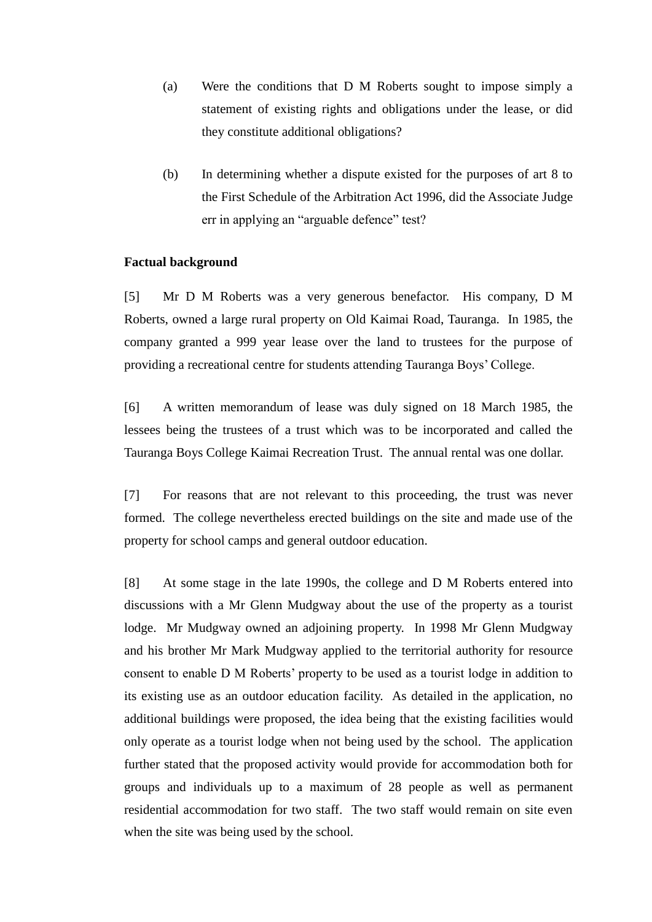- (a) Were the conditions that D M Roberts sought to impose simply a statement of existing rights and obligations under the lease, or did they constitute additional obligations?
- (b) In determining whether a dispute existed for the purposes of art 8 to the First Schedule of the Arbitration Act 1996, did the Associate Judge err in applying an "arguable defence" test?

### **Factual background**

<span id="page-2-0"></span>[5] Mr D M Roberts was a very generous benefactor. His company, D M Roberts, owned a large rural property on Old Kaimai Road, Tauranga. In 1985, the company granted a 999 year lease over the land to trustees for the purpose of providing a recreational centre for students attending Tauranga Boys' College.

[6] A written memorandum of lease was duly signed on 18 March 1985, the lessees being the trustees of a trust which was to be incorporated and called the Tauranga Boys College Kaimai Recreation Trust. The annual rental was one dollar.

[7] For reasons that are not relevant to this proceeding, the trust was never formed. The college nevertheless erected buildings on the site and made use of the property for school camps and general outdoor education.

[8] At some stage in the late 1990s, the college and D M Roberts entered into discussions with a Mr Glenn Mudgway about the use of the property as a tourist lodge. Mr Mudgway owned an adjoining property. In 1998 Mr Glenn Mudgway and his brother Mr Mark Mudgway applied to the territorial authority for resource consent to enable D M Roberts' property to be used as a tourist lodge in addition to its existing use as an outdoor education facility. As detailed in the application, no additional buildings were proposed, the idea being that the existing facilities would only operate as a tourist lodge when not being used by the school. The application further stated that the proposed activity would provide for accommodation both for groups and individuals up to a maximum of 28 people as well as permanent residential accommodation for two staff. The two staff would remain on site even when the site was being used by the school.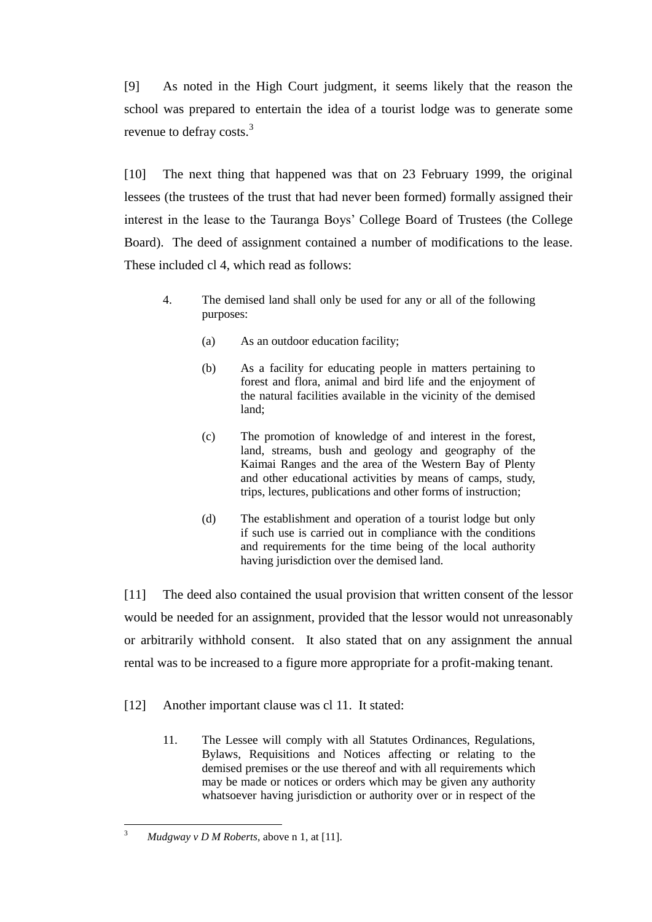[9] As noted in the High Court judgment, it seems likely that the reason the school was prepared to entertain the idea of a tourist lodge was to generate some revenue to defray costs.<sup>3</sup>

[10] The next thing that happened was that on 23 February 1999, the original lessees (the trustees of the trust that had never been formed) formally assigned their interest in the lease to the Tauranga Boys' College Board of Trustees (the College Board). The deed of assignment contained a number of modifications to the lease. These included cl 4, which read as follows:

- 4. The demised land shall only be used for any or all of the following purposes:
	- (a) As an outdoor education facility;
	- (b) As a facility for educating people in matters pertaining to forest and flora, animal and bird life and the enjoyment of the natural facilities available in the vicinity of the demised land;
	- (c) The promotion of knowledge of and interest in the forest, land, streams, bush and geology and geography of the Kaimai Ranges and the area of the Western Bay of Plenty and other educational activities by means of camps, study, trips, lectures, publications and other forms of instruction;
	- (d) The establishment and operation of a tourist lodge but only if such use is carried out in compliance with the conditions and requirements for the time being of the local authority having jurisdiction over the demised land.

[11] The deed also contained the usual provision that written consent of the lessor would be needed for an assignment, provided that the lessor would not unreasonably or arbitrarily withhold consent. It also stated that on any assignment the annual rental was to be increased to a figure more appropriate for a profit-making tenant.

- [12] Another important clause was cl 11. It stated:
	- 11. The Lessee will comply with all Statutes Ordinances, Regulations, Bylaws, Requisitions and Notices affecting or relating to the demised premises or the use thereof and with all requirements which may be made or notices or orders which may be given any authority whatsoever having jurisdiction or authority over or in respect of the

 $\overline{3}$ <sup>3</sup> *Mudgway v D M Roberts*, above n 1, at [11].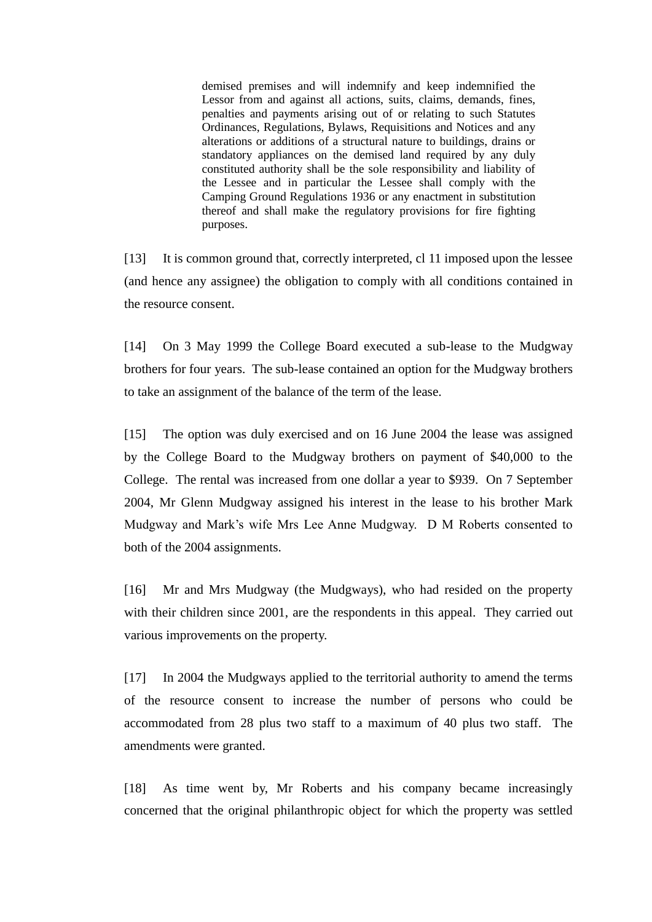demised premises and will indemnify and keep indemnified the Lessor from and against all actions, suits, claims, demands, fines, penalties and payments arising out of or relating to such Statutes Ordinances, Regulations, Bylaws, Requisitions and Notices and any alterations or additions of a structural nature to buildings, drains or standatory appliances on the demised land required by any duly constituted authority shall be the sole responsibility and liability of the Lessee and in particular the Lessee shall comply with the Camping Ground Regulations 1936 or any enactment in substitution thereof and shall make the regulatory provisions for fire fighting purposes.

[13] It is common ground that, correctly interpreted, cl 11 imposed upon the lessee (and hence any assignee) the obligation to comply with all conditions contained in the resource consent.

[14] On 3 May 1999 the College Board executed a sub-lease to the Mudgway brothers for four years. The sub-lease contained an option for the Mudgway brothers to take an assignment of the balance of the term of the lease.

[15] The option was duly exercised and on 16 June 2004 the lease was assigned by the College Board to the Mudgway brothers on payment of \$40,000 to the College. The rental was increased from one dollar a year to \$939. On 7 September 2004, Mr Glenn Mudgway assigned his interest in the lease to his brother Mark Mudgway and Mark's wife Mrs Lee Anne Mudgway. D M Roberts consented to both of the 2004 assignments.

[16] Mr and Mrs Mudgway (the Mudgways), who had resided on the property with their children since 2001, are the respondents in this appeal. They carried out various improvements on the property.

[17] In 2004 the Mudgways applied to the territorial authority to amend the terms of the resource consent to increase the number of persons who could be accommodated from 28 plus two staff to a maximum of 40 plus two staff. The amendments were granted.

[18] As time went by, Mr Roberts and his company became increasingly concerned that the original philanthropic object for which the property was settled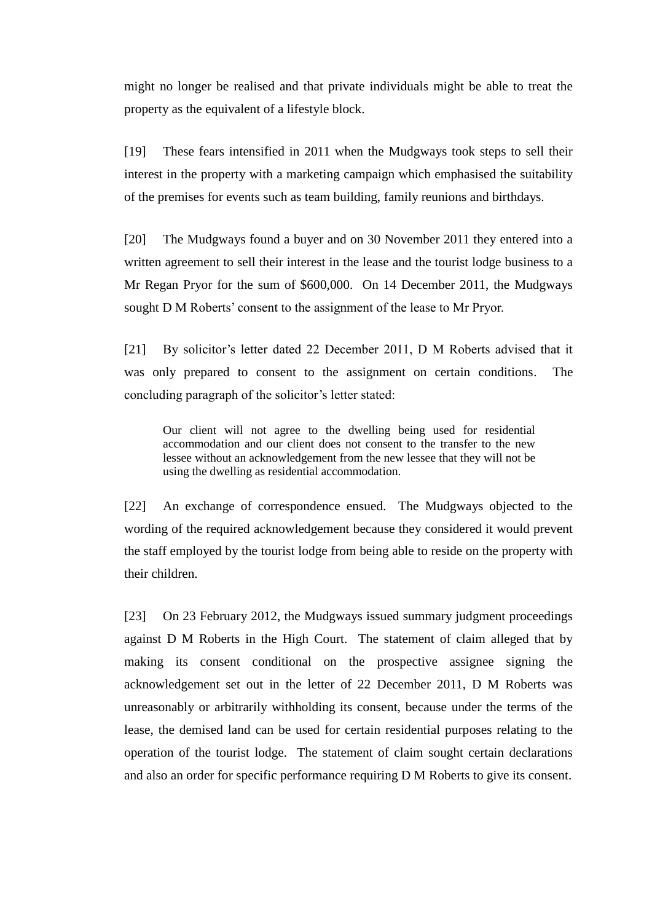might no longer be realised and that private individuals might be able to treat the property as the equivalent of a lifestyle block.

[19] These fears intensified in 2011 when the Mudgways took steps to sell their interest in the property with a marketing campaign which emphasised the suitability of the premises for events such as team building, family reunions and birthdays.

[20] The Mudgways found a buyer and on 30 November 2011 they entered into a written agreement to sell their interest in the lease and the tourist lodge business to a Mr Regan Pryor for the sum of \$600,000. On 14 December 2011, the Mudgways sought D M Roberts' consent to the assignment of the lease to Mr Pryor.

[21] By solicitor's letter dated 22 December 2011, D M Roberts advised that it was only prepared to consent to the assignment on certain conditions. The concluding paragraph of the solicitor's letter stated:

Our client will not agree to the dwelling being used for residential accommodation and our client does not consent to the transfer to the new lessee without an acknowledgement from the new lessee that they will not be using the dwelling as residential accommodation.

[22] An exchange of correspondence ensued. The Mudgways objected to the wording of the required acknowledgement because they considered it would prevent the staff employed by the tourist lodge from being able to reside on the property with their children.

[23] On 23 February 2012, the Mudgways issued summary judgment proceedings against D M Roberts in the High Court. The statement of claim alleged that by making its consent conditional on the prospective assignee signing the acknowledgement set out in the letter of 22 December 2011, D M Roberts was unreasonably or arbitrarily withholding its consent, because under the terms of the lease, the demised land can be used for certain residential purposes relating to the operation of the tourist lodge. The statement of claim sought certain declarations and also an order for specific performance requiring D M Roberts to give its consent.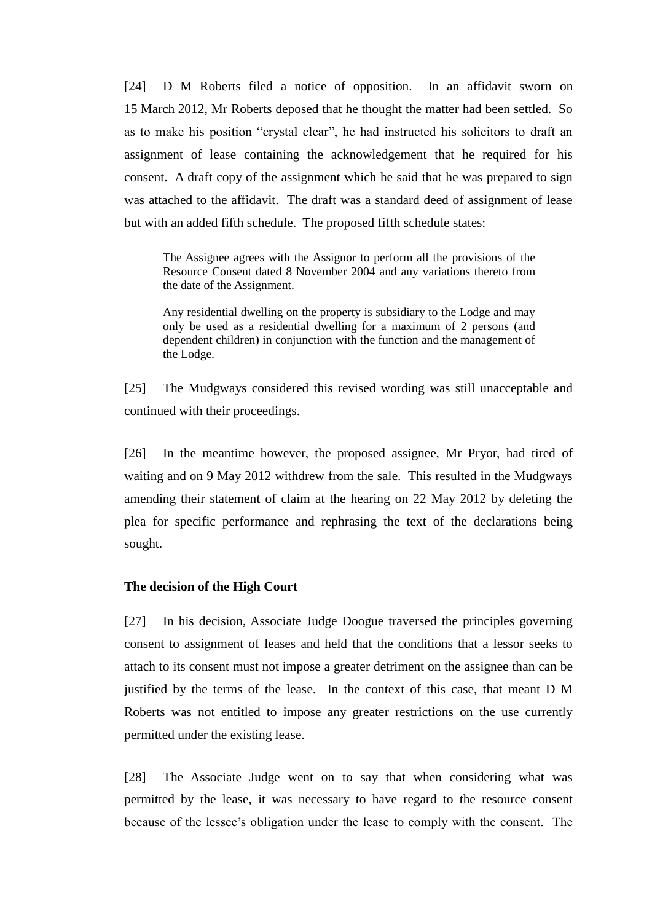[24] D M Roberts filed a notice of opposition. In an affidavit sworn on 15 March 2012, Mr Roberts deposed that he thought the matter had been settled. So as to make his position "crystal clear", he had instructed his solicitors to draft an assignment of lease containing the acknowledgement that he required for his consent. A draft copy of the assignment which he said that he was prepared to sign was attached to the affidavit. The draft was a standard deed of assignment of lease but with an added fifth schedule. The proposed fifth schedule states:

The Assignee agrees with the Assignor to perform all the provisions of the Resource Consent dated 8 November 2004 and any variations thereto from the date of the Assignment.

Any residential dwelling on the property is subsidiary to the Lodge and may only be used as a residential dwelling for a maximum of 2 persons (and dependent children) in conjunction with the function and the management of the Lodge.

[25] The Mudgways considered this revised wording was still unacceptable and continued with their proceedings.

[26] In the meantime however, the proposed assignee, Mr Pryor, had tired of waiting and on 9 May 2012 withdrew from the sale. This resulted in the Mudgways amending their statement of claim at the hearing on 22 May 2012 by deleting the plea for specific performance and rephrasing the text of the declarations being sought.

#### **The decision of the High Court**

<span id="page-6-0"></span>[27] In his decision, Associate Judge Doogue traversed the principles governing consent to assignment of leases and held that the conditions that a lessor seeks to attach to its consent must not impose a greater detriment on the assignee than can be justified by the terms of the lease. In the context of this case, that meant D M Roberts was not entitled to impose any greater restrictions on the use currently permitted under the existing lease.

[28] The Associate Judge went on to say that when considering what was permitted by the lease, it was necessary to have regard to the resource consent because of the lessee's obligation under the lease to comply with the consent. The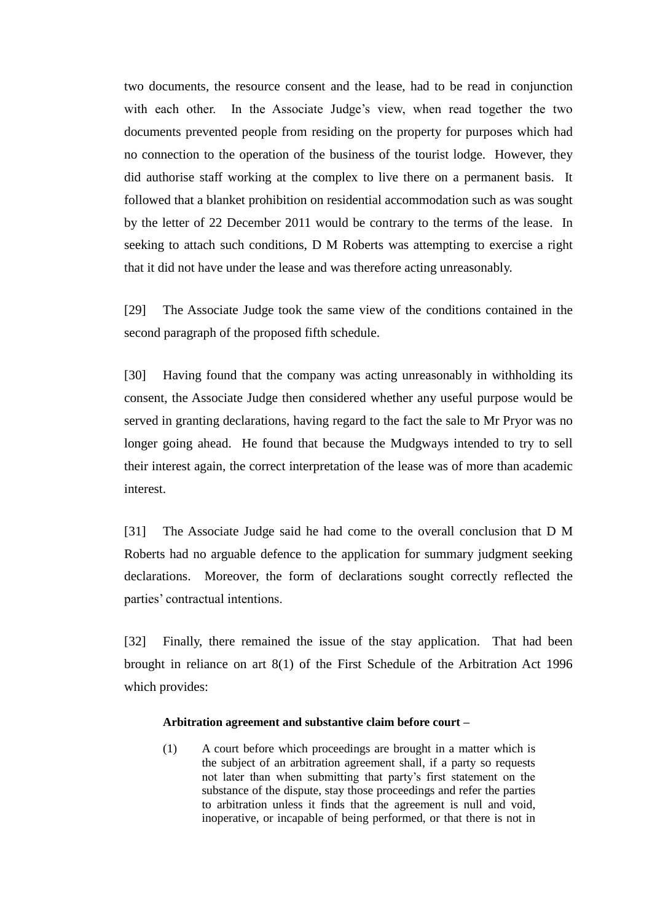two documents, the resource consent and the lease, had to be read in conjunction with each other. In the Associate Judge's view, when read together the two documents prevented people from residing on the property for purposes which had no connection to the operation of the business of the tourist lodge. However, they did authorise staff working at the complex to live there on a permanent basis. It followed that a blanket prohibition on residential accommodation such as was sought by the letter of 22 December 2011 would be contrary to the terms of the lease. In seeking to attach such conditions, D M Roberts was attempting to exercise a right that it did not have under the lease and was therefore acting unreasonably.

[29] The Associate Judge took the same view of the conditions contained in the second paragraph of the proposed fifth schedule.

[30] Having found that the company was acting unreasonably in withholding its consent, the Associate Judge then considered whether any useful purpose would be served in granting declarations, having regard to the fact the sale to Mr Pryor was no longer going ahead. He found that because the Mudgways intended to try to sell their interest again, the correct interpretation of the lease was of more than academic interest.

[31] The Associate Judge said he had come to the overall conclusion that D M Roberts had no arguable defence to the application for summary judgment seeking declarations. Moreover, the form of declarations sought correctly reflected the parties' contractual intentions.

[32] Finally, there remained the issue of the stay application. That had been brought in reliance on art 8(1) of the First Schedule of the Arbitration Act 1996 which provides:

#### **Arbitration agreement and substantive claim before court –**

(1) A court before which proceedings are brought in a matter which is the subject of an arbitration agreement shall, if a party so requests not later than when submitting that party's first statement on the substance of the dispute, stay those proceedings and refer the parties to arbitration unless it finds that the agreement is null and void, inoperative, or incapable of being performed, or that there is not in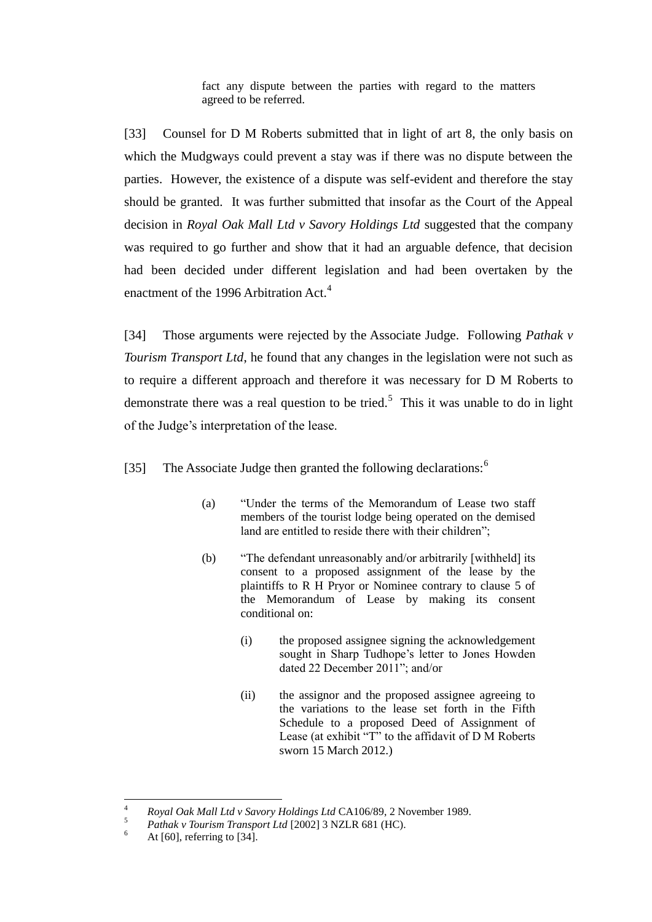fact any dispute between the parties with regard to the matters agreed to be referred.

[33] Counsel for D M Roberts submitted that in light of art 8, the only basis on which the Mudgways could prevent a stay was if there was no dispute between the parties. However, the existence of a dispute was self-evident and therefore the stay should be granted. It was further submitted that insofar as the Court of the Appeal decision in *Royal Oak Mall Ltd v Savory Holdings Ltd* suggested that the company was required to go further and show that it had an arguable defence, that decision had been decided under different legislation and had been overtaken by the enactment of the 1996 Arbitration Act.<sup>4</sup>

[34] Those arguments were rejected by the Associate Judge. Following *Pathak v Tourism Transport Ltd*, he found that any changes in the legislation were not such as to require a different approach and therefore it was necessary for D M Roberts to demonstrate there was a real question to be tried.<sup>5</sup> This it was unable to do in light of the Judge's interpretation of the lease.

[35] The Associate Judge then granted the following declarations:<sup>6</sup>

- (a) "Under the terms of the Memorandum of Lease two staff members of the tourist lodge being operated on the demised land are entitled to reside there with their children";
- (b) "The defendant unreasonably and/or arbitrarily [withheld] its consent to a proposed assignment of the lease by the plaintiffs to R H Pryor or Nominee contrary to clause 5 of the Memorandum of Lease by making its consent conditional on:
	- (i) the proposed assignee signing the acknowledgement sought in Sharp Tudhope's letter to Jones Howden dated 22 December 2011"; and/or
	- (ii) the assignor and the proposed assignee agreeing to the variations to the lease set forth in the Fifth Schedule to a proposed Deed of Assignment of Lease (at exhibit "T" to the affidavit of  $D$  M Roberts sworn 15 March 2012.)

 $\overline{4}$ <sup>4</sup> *Royal Oak Mall Ltd v Savory Holdings Ltd* CA106/89, 2 November 1989.

<sup>&</sup>lt;sup>5</sup> *Pathak v Tourism Transport Ltd* [2002] 3 NZLR 681 (HC).

At  $[60]$ , referring to  $[34]$ .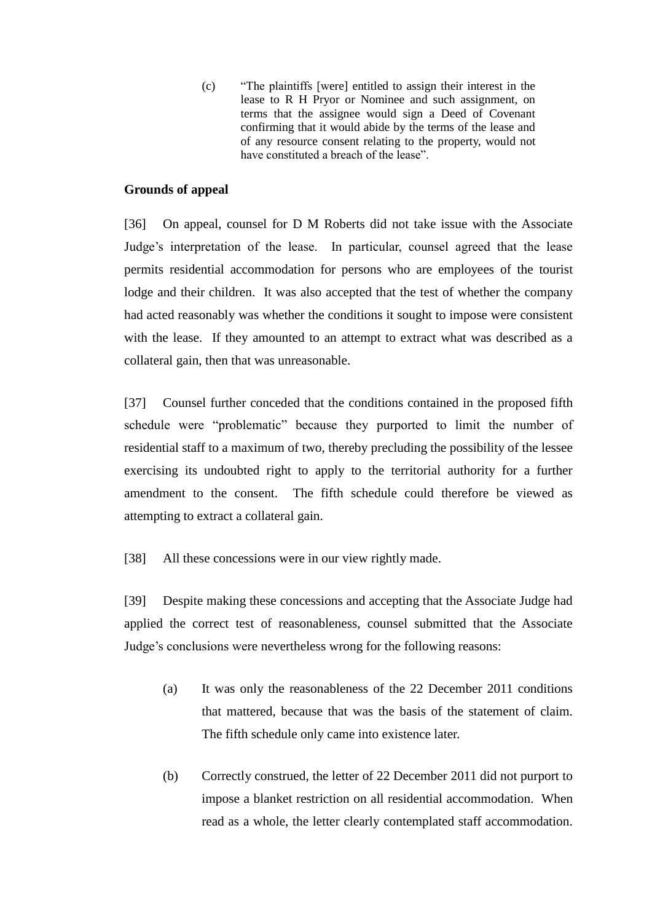(c) "The plaintiffs [were] entitled to assign their interest in the lease to R H Pryor or Nominee and such assignment, on terms that the assignee would sign a Deed of Covenant confirming that it would abide by the terms of the lease and of any resource consent relating to the property, would not have constituted a breach of the lease".

## **Grounds of appeal**

<span id="page-9-0"></span>[36] On appeal, counsel for D M Roberts did not take issue with the Associate Judge's interpretation of the lease. In particular, counsel agreed that the lease permits residential accommodation for persons who are employees of the tourist lodge and their children. It was also accepted that the test of whether the company had acted reasonably was whether the conditions it sought to impose were consistent with the lease. If they amounted to an attempt to extract what was described as a collateral gain, then that was unreasonable.

[37] Counsel further conceded that the conditions contained in the proposed fifth schedule were "problematic" because they purported to limit the number of residential staff to a maximum of two, thereby precluding the possibility of the lessee exercising its undoubted right to apply to the territorial authority for a further amendment to the consent. The fifth schedule could therefore be viewed as attempting to extract a collateral gain.

[38] All these concessions were in our view rightly made.

[39] Despite making these concessions and accepting that the Associate Judge had applied the correct test of reasonableness, counsel submitted that the Associate Judge's conclusions were nevertheless wrong for the following reasons:

- (a) It was only the reasonableness of the 22 December 2011 conditions that mattered, because that was the basis of the statement of claim. The fifth schedule only came into existence later.
- (b) Correctly construed, the letter of 22 December 2011 did not purport to impose a blanket restriction on all residential accommodation. When read as a whole, the letter clearly contemplated staff accommodation.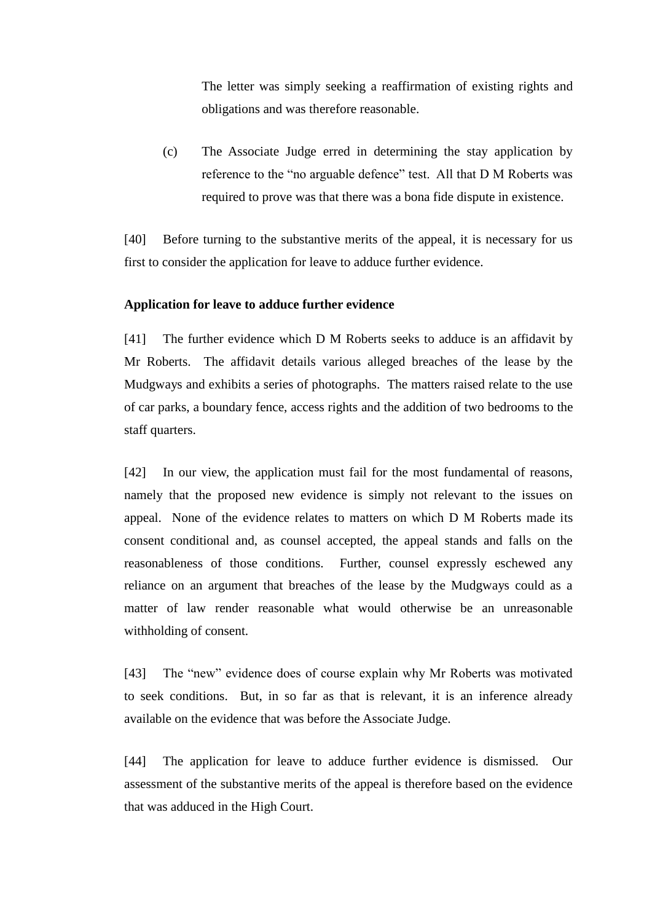The letter was simply seeking a reaffirmation of existing rights and obligations and was therefore reasonable.

(c) The Associate Judge erred in determining the stay application by reference to the "no arguable defence" test. All that D M Roberts was required to prove was that there was a bona fide dispute in existence.

[40] Before turning to the substantive merits of the appeal, it is necessary for us first to consider the application for leave to adduce further evidence.

### **Application for leave to adduce further evidence**

[41] The further evidence which D M Roberts seeks to adduce is an affidavit by Mr Roberts. The affidavit details various alleged breaches of the lease by the Mudgways and exhibits a series of photographs. The matters raised relate to the use of car parks, a boundary fence, access rights and the addition of two bedrooms to the staff quarters.

[42] In our view, the application must fail for the most fundamental of reasons, namely that the proposed new evidence is simply not relevant to the issues on appeal. None of the evidence relates to matters on which D M Roberts made its consent conditional and, as counsel accepted, the appeal stands and falls on the reasonableness of those conditions. Further, counsel expressly eschewed any reliance on an argument that breaches of the lease by the Mudgways could as a matter of law render reasonable what would otherwise be an unreasonable withholding of consent.

[43] The "new" evidence does of course explain why Mr Roberts was motivated to seek conditions. But, in so far as that is relevant, it is an inference already available on the evidence that was before the Associate Judge.

[44] The application for leave to adduce further evidence is dismissed. Our assessment of the substantive merits of the appeal is therefore based on the evidence that was adduced in the High Court.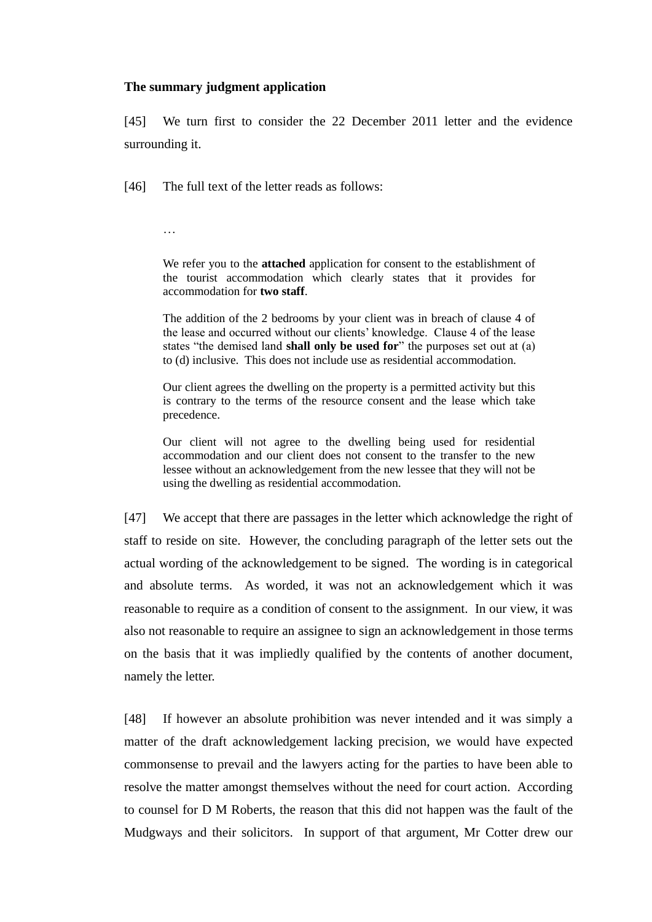### **The summary judgment application**

<span id="page-11-0"></span>[45] We turn first to consider the 22 December 2011 letter and the evidence surrounding it.

[46] The full text of the letter reads as follows:

…

We refer you to the **attached** application for consent to the establishment of the tourist accommodation which clearly states that it provides for accommodation for **two staff**.

The addition of the 2 bedrooms by your client was in breach of clause 4 of the lease and occurred without our clients' knowledge. Clause 4 of the lease states "the demised land **shall only be used for**" the purposes set out at (a) to (d) inclusive. This does not include use as residential accommodation.

Our client agrees the dwelling on the property is a permitted activity but this is contrary to the terms of the resource consent and the lease which take precedence.

Our client will not agree to the dwelling being used for residential accommodation and our client does not consent to the transfer to the new lessee without an acknowledgement from the new lessee that they will not be using the dwelling as residential accommodation.

[47] We accept that there are passages in the letter which acknowledge the right of staff to reside on site. However, the concluding paragraph of the letter sets out the actual wording of the acknowledgement to be signed. The wording is in categorical and absolute terms. As worded, it was not an acknowledgement which it was reasonable to require as a condition of consent to the assignment. In our view, it was also not reasonable to require an assignee to sign an acknowledgement in those terms on the basis that it was impliedly qualified by the contents of another document, namely the letter.

[48] If however an absolute prohibition was never intended and it was simply a matter of the draft acknowledgement lacking precision, we would have expected commonsense to prevail and the lawyers acting for the parties to have been able to resolve the matter amongst themselves without the need for court action. According to counsel for D M Roberts, the reason that this did not happen was the fault of the Mudgways and their solicitors. In support of that argument, Mr Cotter drew our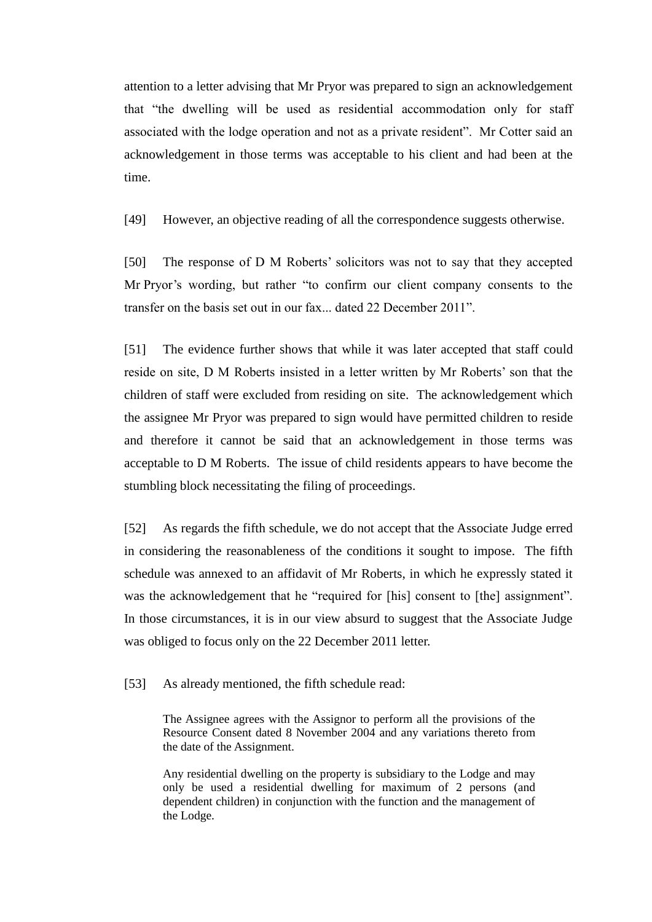attention to a letter advising that Mr Pryor was prepared to sign an acknowledgement that "the dwelling will be used as residential accommodation only for staff associated with the lodge operation and not as a private resident". Mr Cotter said an acknowledgement in those terms was acceptable to his client and had been at the time.

[49] However, an objective reading of all the correspondence suggests otherwise.

[50] The response of D M Roberts' solicitors was not to say that they accepted Mr Pryor's wording, but rather "to confirm our client company consents to the transfer on the basis set out in our fax... dated 22 December 2011".

[51] The evidence further shows that while it was later accepted that staff could reside on site, D M Roberts insisted in a letter written by Mr Roberts' son that the children of staff were excluded from residing on site. The acknowledgement which the assignee Mr Pryor was prepared to sign would have permitted children to reside and therefore it cannot be said that an acknowledgement in those terms was acceptable to D M Roberts. The issue of child residents appears to have become the stumbling block necessitating the filing of proceedings.

[52] As regards the fifth schedule, we do not accept that the Associate Judge erred in considering the reasonableness of the conditions it sought to impose. The fifth schedule was annexed to an affidavit of Mr Roberts, in which he expressly stated it was the acknowledgement that he "required for [his] consent to [the] assignment". In those circumstances, it is in our view absurd to suggest that the Associate Judge was obliged to focus only on the 22 December 2011 letter.

[53] As already mentioned, the fifth schedule read:

The Assignee agrees with the Assignor to perform all the provisions of the Resource Consent dated 8 November 2004 and any variations thereto from the date of the Assignment.

Any residential dwelling on the property is subsidiary to the Lodge and may only be used a residential dwelling for maximum of 2 persons (and dependent children) in conjunction with the function and the management of the Lodge.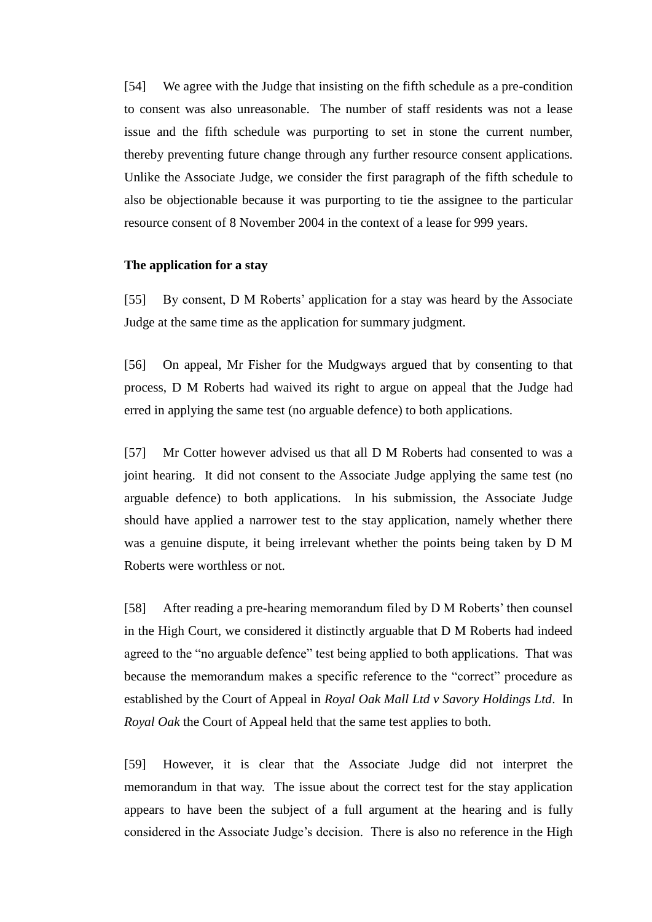[54] We agree with the Judge that insisting on the fifth schedule as a pre-condition to consent was also unreasonable. The number of staff residents was not a lease issue and the fifth schedule was purporting to set in stone the current number, thereby preventing future change through any further resource consent applications. Unlike the Associate Judge, we consider the first paragraph of the fifth schedule to also be objectionable because it was purporting to tie the assignee to the particular resource consent of 8 November 2004 in the context of a lease for 999 years.

### **The application for a stay**

<span id="page-13-0"></span>[55] By consent, D M Roberts' application for a stay was heard by the Associate Judge at the same time as the application for summary judgment.

[56] On appeal, Mr Fisher for the Mudgways argued that by consenting to that process, D M Roberts had waived its right to argue on appeal that the Judge had erred in applying the same test (no arguable defence) to both applications.

[57] Mr Cotter however advised us that all D M Roberts had consented to was a joint hearing. It did not consent to the Associate Judge applying the same test (no arguable defence) to both applications. In his submission, the Associate Judge should have applied a narrower test to the stay application, namely whether there was a genuine dispute, it being irrelevant whether the points being taken by D M Roberts were worthless or not.

[58] After reading a pre-hearing memorandum filed by D M Roberts' then counsel in the High Court, we considered it distinctly arguable that D M Roberts had indeed agreed to the "no arguable defence" test being applied to both applications. That was because the memorandum makes a specific reference to the "correct" procedure as established by the Court of Appeal in *Royal Oak Mall Ltd v Savory Holdings Ltd*. In *Royal Oak* the Court of Appeal held that the same test applies to both.

[59] However, it is clear that the Associate Judge did not interpret the memorandum in that way. The issue about the correct test for the stay application appears to have been the subject of a full argument at the hearing and is fully considered in the Associate Judge's decision. There is also no reference in the High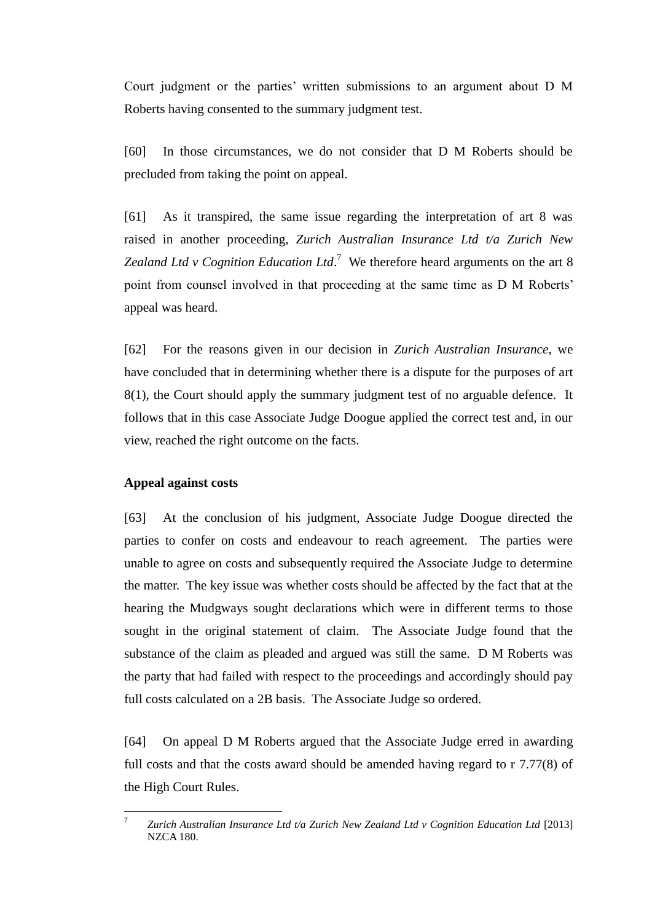Court judgment or the parties' written submissions to an argument about D M Roberts having consented to the summary judgment test.

[60] In those circumstances, we do not consider that D M Roberts should be precluded from taking the point on appeal.

[61] As it transpired, the same issue regarding the interpretation of art 8 was raised in another proceeding, *Zurich Australian Insurance Ltd t/a Zurich New Zealand Ltd v Cognition Education Ltd*.<sup>7</sup> We therefore heard arguments on the art 8 point from counsel involved in that proceeding at the same time as D M Roberts' appeal was heard.

[62] For the reasons given in our decision in *Zurich Australian Insurance*, we have concluded that in determining whether there is a dispute for the purposes of art 8(1), the Court should apply the summary judgment test of no arguable defence. It follows that in this case Associate Judge Doogue applied the correct test and, in our view, reached the right outcome on the facts.

### **Appeal against costs**

<span id="page-14-0"></span>[63] At the conclusion of his judgment, Associate Judge Doogue directed the parties to confer on costs and endeavour to reach agreement. The parties were unable to agree on costs and subsequently required the Associate Judge to determine the matter. The key issue was whether costs should be affected by the fact that at the hearing the Mudgways sought declarations which were in different terms to those sought in the original statement of claim. The Associate Judge found that the substance of the claim as pleaded and argued was still the same. D M Roberts was the party that had failed with respect to the proceedings and accordingly should pay full costs calculated on a 2B basis. The Associate Judge so ordered.

[64] On appeal D M Roberts argued that the Associate Judge erred in awarding full costs and that the costs award should be amended having regard to r 7.77(8) of the High Court Rules.

<sup>-&</sup>lt;br>7 *Zurich Australian Insurance Ltd t/a Zurich New Zealand Ltd v Cognition Education Ltd* [2013] NZCA 180.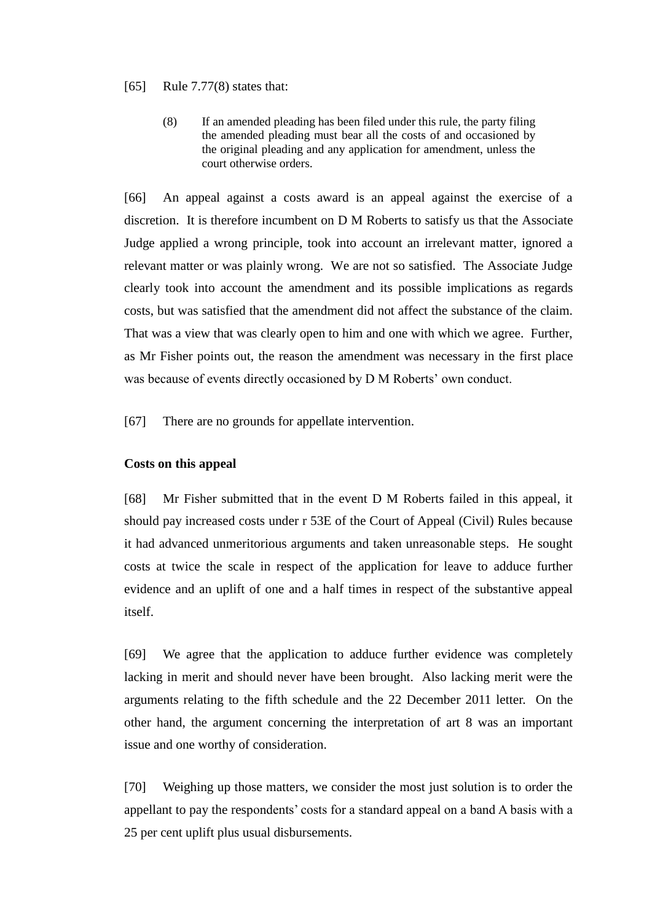#### [65] Rule 7.77(8) states that:

(8) If an amended pleading has been filed under this rule, the party filing the amended pleading must bear all the costs of and occasioned by the original pleading and any application for amendment, unless the court otherwise orders.

[66] An appeal against a costs award is an appeal against the exercise of a discretion. It is therefore incumbent on D M Roberts to satisfy us that the Associate Judge applied a wrong principle, took into account an irrelevant matter, ignored a relevant matter or was plainly wrong. We are not so satisfied. The Associate Judge clearly took into account the amendment and its possible implications as regards costs, but was satisfied that the amendment did not affect the substance of the claim. That was a view that was clearly open to him and one with which we agree. Further, as Mr Fisher points out, the reason the amendment was necessary in the first place was because of events directly occasioned by D M Roberts' own conduct.

[67] There are no grounds for appellate intervention.

### **Costs on this appeal**

<span id="page-15-0"></span>[68] Mr Fisher submitted that in the event D M Roberts failed in this appeal, it should pay increased costs under r 53E of the Court of Appeal (Civil) Rules because it had advanced unmeritorious arguments and taken unreasonable steps. He sought costs at twice the scale in respect of the application for leave to adduce further evidence and an uplift of one and a half times in respect of the substantive appeal itself.

[69] We agree that the application to adduce further evidence was completely lacking in merit and should never have been brought. Also lacking merit were the arguments relating to the fifth schedule and the 22 December 2011 letter. On the other hand, the argument concerning the interpretation of art 8 was an important issue and one worthy of consideration.

[70] Weighing up those matters, we consider the most just solution is to order the appellant to pay the respondents' costs for a standard appeal on a band A basis with a 25 per cent uplift plus usual disbursements.